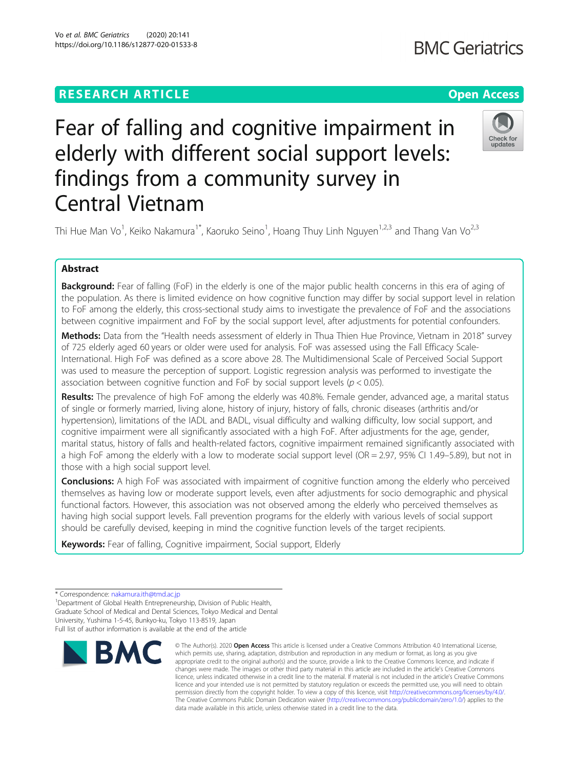Vo et al. BMC Geriatrics (2020) 20:141 https://doi.org/10.1186/s12877-020-01533-8

## **RESEARCH ARTICLE Example 2014 12:30 The Contract of Contract ACCESS**

Check for undates

# Fear of falling and cognitive impairment in elderly with different social support levels: findings from a community survey in Central Vietnam

Thi Hue Man Vo<sup>1</sup>, Keiko Nakamura<sup>1\*</sup>, Kaoruko Seino<sup>1</sup>, Hoang Thuy Linh Nguyen<sup>1,2,3</sup> and Thang Van Vo<sup>2,3</sup>

### Abstract

Background: Fear of falling (FoF) in the elderly is one of the major public health concerns in this era of aging of the population. As there is limited evidence on how cognitive function may differ by social support level in relation to FoF among the elderly, this cross-sectional study aims to investigate the prevalence of FoF and the associations between cognitive impairment and FoF by the social support level, after adjustments for potential confounders.

Methods: Data from the "Health needs assessment of elderly in Thua Thien Hue Province, Vietnam in 2018" survey of 725 elderly aged 60 years or older were used for analysis. FoF was assessed using the Fall Efficacy Scale-International. High FoF was defined as a score above 28. The Multidimensional Scale of Perceived Social Support was used to measure the perception of support. Logistic regression analysis was performed to investigate the association between cognitive function and FoF by social support levels ( $p < 0.05$ ).

Results: The prevalence of high FoF among the elderly was 40.8%. Female gender, advanced age, a marital status of single or formerly married, living alone, history of injury, history of falls, chronic diseases (arthritis and/or hypertension), limitations of the IADL and BADL, visual difficulty and walking difficulty, low social support, and cognitive impairment were all significantly associated with a high FoF. After adjustments for the age, gender, marital status, history of falls and health-related factors, cognitive impairment remained significantly associated with a high FoF among the elderly with a low to moderate social support level (OR = 2.97, 95% CI 1.49–5.89), but not in those with a high social support level.

**Conclusions:** A high FoF was associated with impairment of cognitive function among the elderly who perceived themselves as having low or moderate support levels, even after adjustments for socio demographic and physical functional factors. However, this association was not observed among the elderly who perceived themselves as having high social support levels. Fall prevention programs for the elderly with various levels of social support should be carefully devised, keeping in mind the cognitive function levels of the target recipients.

Keywords: Fear of falling, Cognitive impairment, Social support, Elderly

<sup>1</sup>Department of Global Health Entrepreneurship, Division of Public Health, Graduate School of Medical and Dental Sciences, Tokyo Medical and Dental University, Yushima 1-5-45, Bunkyo-ku, Tokyo 113-8519, Japan Full list of author information is available at the end of the article



<sup>©</sup> The Author(s), 2020 **Open Access** This article is licensed under a Creative Commons Attribution 4.0 International License, which permits use, sharing, adaptation, distribution and reproduction in any medium or format, as long as you give appropriate credit to the original author(s) and the source, provide a link to the Creative Commons licence, and indicate if changes were made. The images or other third party material in this article are included in the article's Creative Commons licence, unless indicated otherwise in a credit line to the material. If material is not included in the article's Creative Commons licence and your intended use is not permitted by statutory regulation or exceeds the permitted use, you will need to obtain permission directly from the copyright holder. To view a copy of this licence, visit [http://creativecommons.org/licenses/by/4.0/.](http://creativecommons.org/licenses/by/4.0/) The Creative Commons Public Domain Dedication waiver [\(http://creativecommons.org/publicdomain/zero/1.0/](http://creativecommons.org/publicdomain/zero/1.0/)) applies to the data made available in this article, unless otherwise stated in a credit line to the data.

<sup>\*</sup> Correspondence: [nakamura.ith@tmd.ac.jp](mailto:nakamura.ith@tmd.ac.jp) <sup>1</sup>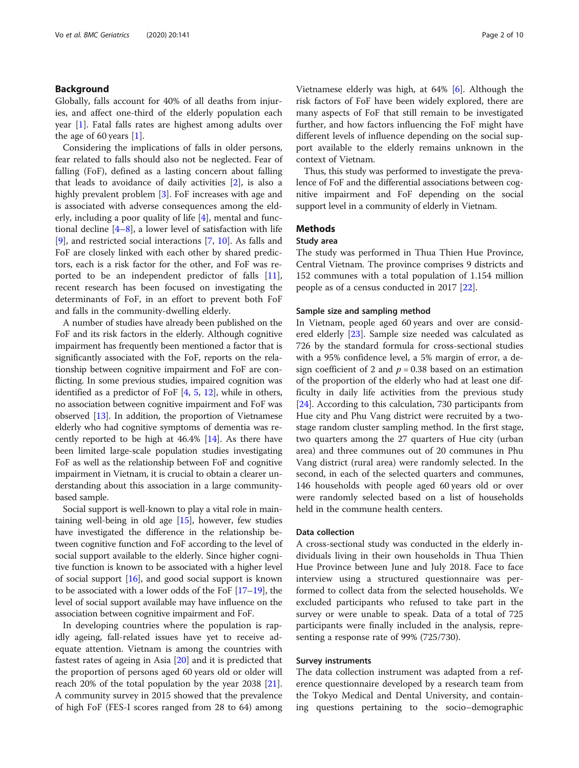#### Background

Globally, falls account for 40% of all deaths from injuries, and affect one-third of the elderly population each year [[1\]](#page-8-0). Fatal falls rates are highest among adults over the age of 60 years [\[1](#page-8-0)].

Considering the implications of falls in older persons, fear related to falls should also not be neglected. Fear of falling (FoF), defined as a lasting concern about falling that leads to avoidance of daily activities [[2\]](#page-8-0), is also a highly prevalent problem [\[3\]](#page-8-0). FoF increases with age and is associated with adverse consequences among the elderly, including a poor quality of life [[4\]](#page-8-0), mental and functional decline  $[4-8]$  $[4-8]$  $[4-8]$  $[4-8]$ , a lower level of satisfaction with life [[9\]](#page-8-0), and restricted social interactions [[7,](#page-8-0) [10\]](#page-8-0). As falls and FoF are closely linked with each other by shared predictors, each is a risk factor for the other, and FoF was reported to be an independent predictor of falls [\[11](#page-8-0)], recent research has been focused on investigating the determinants of FoF, in an effort to prevent both FoF and falls in the community-dwelling elderly.

A number of studies have already been published on the FoF and its risk factors in the elderly. Although cognitive impairment has frequently been mentioned a factor that is significantly associated with the FoF, reports on the relationship between cognitive impairment and FoF are conflicting. In some previous studies, impaired cognition was identified as a predictor of FoF [\[4,](#page-8-0) [5](#page-8-0), [12](#page-8-0)], while in others, no association between cognitive impairment and FoF was observed [\[13\]](#page-8-0). In addition, the proportion of Vietnamese elderly who had cognitive symptoms of dementia was recently reported to be high at 46.4% [\[14](#page-8-0)]. As there have been limited large-scale population studies investigating FoF as well as the relationship between FoF and cognitive impairment in Vietnam, it is crucial to obtain a clearer understanding about this association in a large communitybased sample.

Social support is well-known to play a vital role in maintaining well-being in old age [\[15\]](#page-8-0), however, few studies have investigated the difference in the relationship between cognitive function and FoF according to the level of social support available to the elderly. Since higher cognitive function is known to be associated with a higher level of social support [\[16\]](#page-8-0), and good social support is known to be associated with a lower odds of the FoF [[17](#page-8-0)–[19\]](#page-8-0), the level of social support available may have influence on the association between cognitive impairment and FoF.

In developing countries where the population is rapidly ageing, fall-related issues have yet to receive adequate attention. Vietnam is among the countries with fastest rates of ageing in Asia [[20\]](#page-8-0) and it is predicted that the proportion of persons aged 60 years old or older will reach 20% of the total population by the year 2038 [\[21](#page-8-0)]. A community survey in 2015 showed that the prevalence of high FoF (FES-I scores ranged from 28 to 64) among

Vietnamese elderly was high, at 64% [\[6](#page-8-0)]. Although the risk factors of FoF have been widely explored, there are many aspects of FoF that still remain to be investigated further, and how factors influencing the FoF might have different levels of influence depending on the social support available to the elderly remains unknown in the context of Vietnam.

Thus, this study was performed to investigate the prevalence of FoF and the differential associations between cognitive impairment and FoF depending on the social support level in a community of elderly in Vietnam.

#### Methods

#### Study area

The study was performed in Thua Thien Hue Province, Central Vietnam. The province comprises 9 districts and 152 communes with a total population of 1.154 million people as of a census conducted in 2017 [\[22](#page-8-0)].

#### Sample size and sampling method

In Vietnam, people aged 60 years and over are consid-ered elderly [\[23\]](#page-8-0). Sample size needed was calculated as 726 by the standard formula for cross-sectional studies with a 95% confidence level, a 5% margin of error, a design coefficient of 2 and  $p = 0.38$  based on an estimation of the proportion of the elderly who had at least one difficulty in daily life activities from the previous study [[24\]](#page-8-0). According to this calculation, 730 participants from Hue city and Phu Vang district were recruited by a twostage random cluster sampling method. In the first stage, two quarters among the 27 quarters of Hue city (urban area) and three communes out of 20 communes in Phu Vang district (rural area) were randomly selected. In the second, in each of the selected quarters and communes, 146 households with people aged 60 years old or over were randomly selected based on a list of households held in the commune health centers.

#### Data collection

A cross-sectional study was conducted in the elderly individuals living in their own households in Thua Thien Hue Province between June and July 2018. Face to face interview using a structured questionnaire was performed to collect data from the selected households. We excluded participants who refused to take part in the survey or were unable to speak. Data of a total of 725 participants were finally included in the analysis, representing a response rate of 99% (725/730).

#### Survey instruments

The data collection instrument was adapted from a reference questionnaire developed by a research team from the Tokyo Medical and Dental University, and containing questions pertaining to the socio–demographic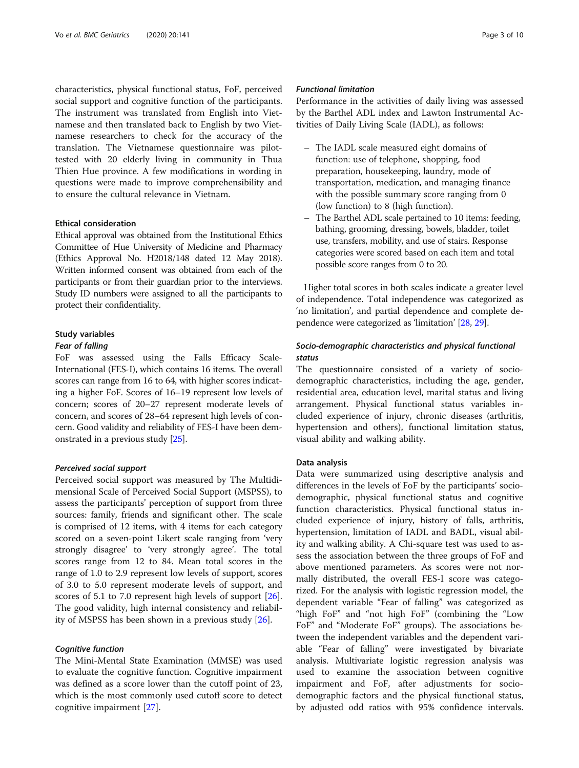characteristics, physical functional status, FoF, perceived social support and cognitive function of the participants. The instrument was translated from English into Vietnamese and then translated back to English by two Vietnamese researchers to check for the accuracy of the translation. The Vietnamese questionnaire was pilottested with 20 elderly living in community in Thua Thien Hue province. A few modifications in wording in questions were made to improve comprehensibility and to ensure the cultural relevance in Vietnam.

#### Ethical consideration

Ethical approval was obtained from the Institutional Ethics Committee of Hue University of Medicine and Pharmacy (Ethics Approval No. H2018/148 dated 12 May 2018). Written informed consent was obtained from each of the participants or from their guardian prior to the interviews. Study ID numbers were assigned to all the participants to protect their confidentiality.

#### Study variables

#### Fear of falling

FoF was assessed using the Falls Efficacy Scale-International (FES-I), which contains 16 items. The overall scores can range from 16 to 64, with higher scores indicating a higher FoF. Scores of 16–19 represent low levels of concern; scores of 20–27 represent moderate levels of concern, and scores of 28–64 represent high levels of concern. Good validity and reliability of FES-I have been demonstrated in a previous study [[25\]](#page-8-0).

#### Perceived social support

Perceived social support was measured by The Multidimensional Scale of Perceived Social Support (MSPSS), to assess the participants' perception of support from three sources: family, friends and significant other. The scale is comprised of 12 items, with 4 items for each category scored on a seven-point Likert scale ranging from 'very strongly disagree' to 'very strongly agree'. The total scores range from 12 to 84. Mean total scores in the range of 1.0 to 2.9 represent low levels of support, scores of 3.0 to 5.0 represent moderate levels of support, and scores of 5.1 to 7.0 represent high levels of support [\[26](#page-8-0)]. The good validity, high internal consistency and reliability of MSPSS has been shown in a previous study [\[26\]](#page-8-0).

#### Cognitive function

The Mini-Mental State Examination (MMSE) was used to evaluate the cognitive function. Cognitive impairment was defined as a score lower than the cutoff point of 23, which is the most commonly used cutoff score to detect cognitive impairment [\[27](#page-8-0)].

#### Functional limitation

Performance in the activities of daily living was assessed by the Barthel ADL index and Lawton Instrumental Activities of Daily Living Scale (IADL), as follows:

- The IADL scale measured eight domains of function: use of telephone, shopping, food preparation, housekeeping, laundry, mode of transportation, medication, and managing finance with the possible summary score ranging from 0 (low function) to 8 (high function).
- The Barthel ADL scale pertained to 10 items: feeding, bathing, grooming, dressing, bowels, bladder, toilet use, transfers, mobility, and use of stairs. Response categories were scored based on each item and total possible score ranges from 0 to 20.

Higher total scores in both scales indicate a greater level of independence. Total independence was categorized as 'no limitation', and partial dependence and complete dependence were categorized as 'limitation' [\[28,](#page-8-0) [29\]](#page-8-0).

#### Socio-demographic characteristics and physical functional status

The questionnaire consisted of a variety of sociodemographic characteristics, including the age, gender, residential area, education level, marital status and living arrangement. Physical functional status variables included experience of injury, chronic diseases (arthritis, hypertension and others), functional limitation status, visual ability and walking ability.

#### Data analysis

Data were summarized using descriptive analysis and differences in the levels of FoF by the participants' sociodemographic, physical functional status and cognitive function characteristics. Physical functional status included experience of injury, history of falls, arthritis, hypertension, limitation of IADL and BADL, visual ability and walking ability. A Chi-square test was used to assess the association between the three groups of FoF and above mentioned parameters. As scores were not normally distributed, the overall FES-I score was categorized. For the analysis with logistic regression model, the dependent variable "Fear of falling" was categorized as "high FoF" and "not high FoF" (combining the "Low FoF" and "Moderate FoF" groups). The associations between the independent variables and the dependent variable "Fear of falling" were investigated by bivariate analysis. Multivariate logistic regression analysis was used to examine the association between cognitive impairment and FoF, after adjustments for sociodemographic factors and the physical functional status, by adjusted odd ratios with 95% confidence intervals.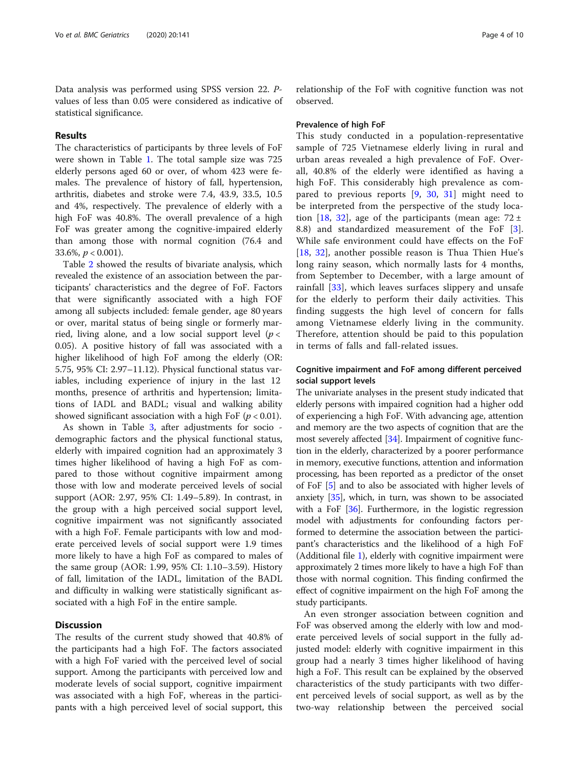Data analysis was performed using SPSS version 22. Pvalues of less than 0.05 were considered as indicative of statistical significance.

#### Results

The characteristics of participants by three levels of FoF were shown in Table [1](#page-4-0). The total sample size was 725 elderly persons aged 60 or over, of whom 423 were females. The prevalence of history of fall, hypertension, arthritis, diabetes and stroke were 7.4, 43.9, 33.5, 10.5 and 4%, respectively. The prevalence of elderly with a high FoF was 40.8%. The overall prevalence of a high FoF was greater among the cognitive-impaired elderly than among those with normal cognition (76.4 and 33.6%,  $p < 0.001$ ).

Table [2](#page-5-0) showed the results of bivariate analysis, which revealed the existence of an association between the participants' characteristics and the degree of FoF. Factors that were significantly associated with a high FOF among all subjects included: female gender, age 80 years or over, marital status of being single or formerly married, living alone, and a low social support level ( $p <$ 0.05). A positive history of fall was associated with a higher likelihood of high FoF among the elderly (OR: 5.75, 95% CI: 2.97–11.12). Physical functional status variables, including experience of injury in the last 12 months, presence of arthritis and hypertension; limitations of IADL and BADL; visual and walking ability showed significant association with a high FoF  $(p < 0.01)$ .

As shown in Table [3,](#page-6-0) after adjustments for socio demographic factors and the physical functional status, elderly with impaired cognition had an approximately 3 times higher likelihood of having a high FoF as compared to those without cognitive impairment among those with low and moderate perceived levels of social support (AOR: 2.97, 95% CI: 1.49–5.89). In contrast, in the group with a high perceived social support level, cognitive impairment was not significantly associated with a high FoF. Female participants with low and moderate perceived levels of social support were 1.9 times more likely to have a high FoF as compared to males of the same group (AOR: 1.99, 95% CI: 1.10–3.59). History of fall, limitation of the IADL, limitation of the BADL and difficulty in walking were statistically significant associated with a high FoF in the entire sample.

#### **Discussion**

The results of the current study showed that 40.8% of the participants had a high FoF. The factors associated with a high FoF varied with the perceived level of social support. Among the participants with perceived low and moderate levels of social support, cognitive impairment was associated with a high FoF, whereas in the participants with a high perceived level of social support, this

relationship of the FoF with cognitive function was not observed.

#### Prevalence of high FoF

This study conducted in a population-representative sample of 725 Vietnamese elderly living in rural and urban areas revealed a high prevalence of FoF. Overall, 40.8% of the elderly were identified as having a high FoF. This considerably high prevalence as compared to previous reports [\[9](#page-8-0), [30,](#page-8-0) [31\]](#page-8-0) might need to be interpreted from the perspective of the study loca-tion [[18](#page-8-0), [32\]](#page-8-0), age of the participants (mean age:  $72 \pm$ 8.8) and standardized measurement of the FoF [\[3](#page-8-0)]. While safe environment could have effects on the FoF [[18,](#page-8-0) [32](#page-8-0)], another possible reason is Thua Thien Hue's long rainy season, which normally lasts for 4 months, from September to December, with a large amount of rainfall [\[33](#page-8-0)], which leaves surfaces slippery and unsafe for the elderly to perform their daily activities. This finding suggests the high level of concern for falls among Vietnamese elderly living in the community. Therefore, attention should be paid to this population in terms of falls and fall-related issues.

#### Cognitive impairment and FoF among different perceived social support levels

The univariate analyses in the present study indicated that elderly persons with impaired cognition had a higher odd of experiencing a high FoF. With advancing age, attention and memory are the two aspects of cognition that are the most severely affected [\[34\]](#page-8-0). Impairment of cognitive function in the elderly, characterized by a poorer performance in memory, executive functions, attention and information processing, has been reported as a predictor of the onset of FoF [[5\]](#page-8-0) and to also be associated with higher levels of anxiety [\[35\]](#page-8-0), which, in turn, was shown to be associated with a FoF [\[36](#page-8-0)]. Furthermore, in the logistic regression model with adjustments for confounding factors performed to determine the association between the participant's characteristics and the likelihood of a high FoF (Additional file [1\)](#page-7-0), elderly with cognitive impairment were approximately 2 times more likely to have a high FoF than those with normal cognition. This finding confirmed the effect of cognitive impairment on the high FoF among the study participants.

An even stronger association between cognition and FoF was observed among the elderly with low and moderate perceived levels of social support in the fully adjusted model: elderly with cognitive impairment in this group had a nearly 3 times higher likelihood of having high a FoF. This result can be explained by the observed characteristics of the study participants with two different perceived levels of social support, as well as by the two-way relationship between the perceived social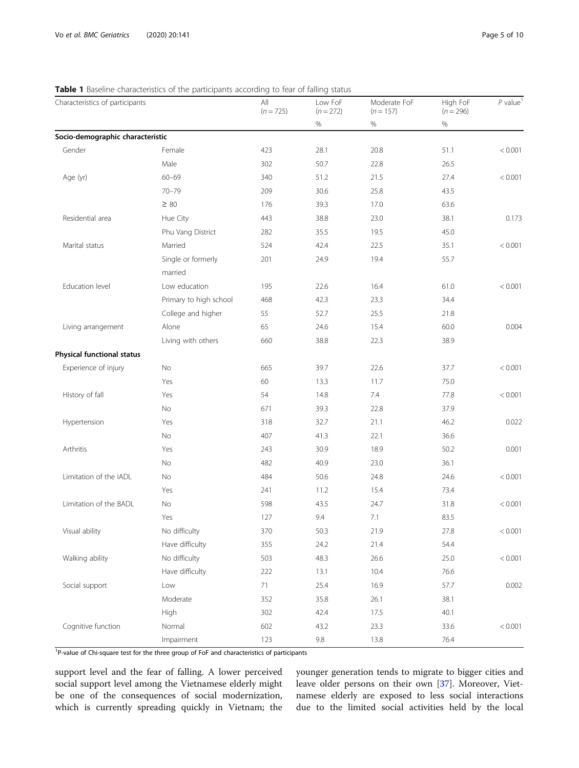#### <span id="page-4-0"></span>Table 1 Baseline characteristics of the participants according to fear of falling status

| Characteristics of participants  | baseme characteristics of the participants according | All<br>$(n = 725)$ | Low FoF<br>$(n = 272)$ | Moderate FoF<br>$(n = 157)$ | High FoF<br>$(n = 296)$ | $P$ value <sup>1</sup> |
|----------------------------------|------------------------------------------------------|--------------------|------------------------|-----------------------------|-------------------------|------------------------|
|                                  |                                                      |                    | %                      | %                           | %                       |                        |
| Socio-demographic characteristic |                                                      |                    |                        |                             |                         |                        |
| Gender                           | Female                                               | 423                | 28.1                   | 20.8                        | 51.1                    | < 0.001                |
|                                  | Male                                                 | 302                | 50.7                   | 22.8                        | 26.5                    |                        |
| Age (yr)                         | $60 - 69$                                            | 340                | 51.2                   | 21.5                        | 27.4                    | < 0.001                |
|                                  | $70 - 79$                                            | 209                | 30.6                   | 25.8                        | 43.5                    |                        |
|                                  | $\geq 80$                                            | 176                | 39.3                   | 17.0                        | 63.6                    |                        |
| Residential area                 | Hue City                                             | 443                | 38.8                   | 23.0                        | 38.1                    | 0.173                  |
|                                  | Phu Vang District                                    | 282                | 35.5                   | 19.5                        | 45.0                    |                        |
| Marital status                   | Married                                              | 524                | 42.4                   | 22.5                        | 35.1                    | < 0.001                |
|                                  | Single or formerly                                   | 201                | 24.9                   | 19.4                        | 55.7                    |                        |
|                                  | married                                              |                    |                        |                             |                         |                        |
| Education level                  | Low education                                        | 195                | 22.6                   | 16.4                        | 61.0                    | < 0.001                |
|                                  | Primary to high school                               | 468                | 42.3                   | 23.3                        | 34.4                    |                        |
|                                  | College and higher                                   | 55                 | 52.7                   | 25.5                        | 21.8                    |                        |
| Living arrangement               | Alone                                                | 65                 | 24.6                   | 15.4                        | 60.0                    | 0.004                  |
|                                  | Living with others                                   | 660                | 38.8                   | 22.3                        | 38.9                    |                        |
| Physical functional status       |                                                      |                    |                        |                             |                         |                        |
| Experience of injury             | No                                                   | 665                | 39.7                   | 22.6                        | 37.7                    | < 0.001                |
|                                  | Yes                                                  | 60                 | 13.3                   | 11.7                        | 75.0                    |                        |
| History of fall                  | Yes                                                  | 54                 | 14.8                   | 7.4                         | 77.8                    | < 0.001                |
|                                  | No                                                   | 671                | 39.3                   | 22.8                        | 37.9                    |                        |
| Hypertension                     | Yes                                                  | 318                | 32.7                   | 21.1                        | 46.2                    | 0.022                  |
|                                  | No                                                   | 407                | 41.3                   | 22.1                        | 36.6                    |                        |
| Arthritis                        | Yes                                                  | 243                | 30.9                   | 18.9                        | 50.2                    | 0.001                  |
|                                  | No                                                   | 482                | 40.9                   | 23.0                        | 36.1                    |                        |
| Limitation of the IADL           | No                                                   | 484                | 50.6                   | 24.8                        | 24.6                    | < 0.001                |
|                                  | Yes                                                  | 241                | 11.2                   | 15.4                        | 73.4                    |                        |
| Limitation of the BADL           | No                                                   | 598                | 43.5                   | 24.7                        | 31.8                    | < 0.001                |
|                                  | Yes                                                  | 127                | 9.4                    | 7.1                         | 83.5                    |                        |
| Visual ability                   | No difficulty                                        | 370                | 50.3                   | 21.9                        | 27.8                    | < 0.001                |
|                                  | Have difficulty                                      | 355                | 24.2                   | 21.4                        | 54.4                    |                        |
| Walking ability                  | No difficulty                                        | 503                | 48.3                   | 26.6                        | 25.0                    | < 0.001                |
|                                  | Have difficulty                                      | 222                | 13.1                   | 10.4                        | 76.6                    |                        |
| Social support                   | Low                                                  | 71                 | 25.4                   | 16.9                        | 57.7                    | 0.002                  |
|                                  | Moderate                                             | 352                | 35.8                   | 26.1                        | 38.1                    |                        |
|                                  | High                                                 | 302                | 42.4                   | 17.5                        | 40.1                    |                        |
| Cognitive function               | Normal                                               | 602                | 43.2                   | 23.3                        | 33.6                    | < 0.001                |
|                                  | Impairment                                           | 123                | 9.8                    | 13.8                        | 76.4                    |                        |

<sup>1</sup>P-value of Chi-square test for the three group of FoF and characteristics of participants

support level and the fear of falling. A lower perceived social support level among the Vietnamese elderly might be one of the consequences of social modernization, which is currently spreading quickly in Vietnam; the younger generation tends to migrate to bigger cities and leave older persons on their own [[37](#page-8-0)]. Moreover, Vietnamese elderly are exposed to less social interactions due to the limited social activities held by the local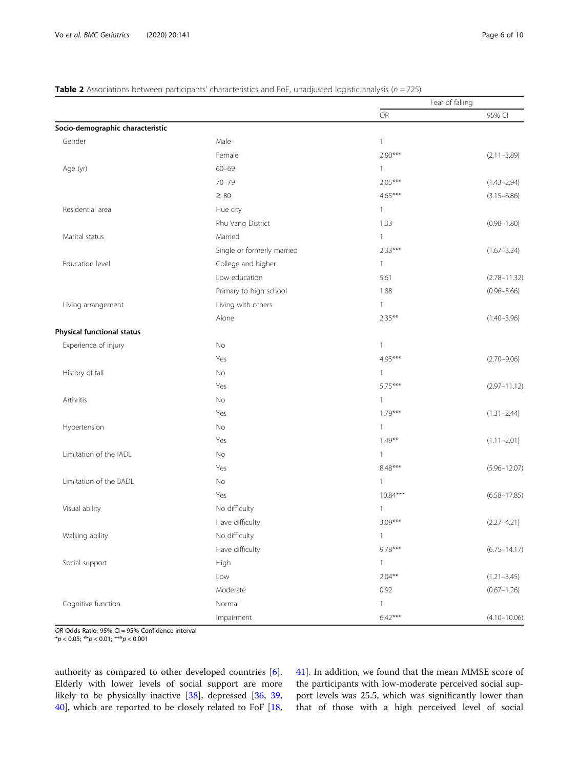#### <span id="page-5-0"></span>**Table 2** Associations between participants' characteristics and FoF, unadjusted logistic analysis ( $n = 725$ )

|                                   |                            |              | Fear of falling  |
|-----------------------------------|----------------------------|--------------|------------------|
|                                   |                            | <b>OR</b>    | 95% CI           |
| Socio-demographic characteristic  |                            |              |                  |
| Gender                            | Male                       | $\mathbf{1}$ |                  |
|                                   | Female                     | $2.90***$    | $(2.11 - 3.89)$  |
| Age (yr)                          | $60 - 69$                  | 1            |                  |
|                                   | $70 - 79$                  | $2.05***$    | $(1.43 - 2.94)$  |
|                                   | $\geq 80$                  | $4.65***$    | $(3.15 - 6.86)$  |
| Residential area                  | Hue city                   | $\mathbf{1}$ |                  |
|                                   | Phu Vang District          | 1.33         | $(0.98 - 1.80)$  |
| Marital status                    | Married                    | $\mathbf{1}$ |                  |
|                                   | Single or formerly married | $2.33***$    | $(1.67 - 3.24)$  |
| Education level                   | College and higher         | $\mathbf{1}$ |                  |
|                                   | Low education              | 5.61         | $(2.78 - 11.32)$ |
|                                   | Primary to high school     | 1.88         | $(0.96 - 3.66)$  |
| Living arrangement                | Living with others         | $\mathbf{1}$ |                  |
|                                   | Alone                      | $2.35***$    | $(1.40 - 3.96)$  |
| <b>Physical functional status</b> |                            |              |                  |
| Experience of injury              | No                         | $\mathbf{1}$ |                  |
|                                   | Yes                        | $4.95***$    | $(2.70 - 9.06)$  |
| History of fall                   | No                         | 1            |                  |
|                                   | Yes                        | $5.75***$    | $(2.97 - 11.12)$ |
| Arthritis                         | No                         | $\mathbf{1}$ |                  |
|                                   | Yes                        | $1.79***$    | $(1.31 - 2.44)$  |
| Hypertension                      | No                         | $\mathbf{1}$ |                  |
|                                   | Yes                        | $1.49***$    | $(1.11 - 2.01)$  |
| Limitation of the IADL            | No                         | 1            |                  |
|                                   | Yes                        | 8.48***      | $(5.96 - 12.07)$ |
| Limitation of the BADL            | No                         | $\mathbf{1}$ |                  |
|                                   | Yes                        | $10.84***$   | $(6.58 - 17.85)$ |
| Visual ability                    | No difficulty              | 1            |                  |
|                                   | Have difficulty            | $3.09***$    | $(2.27 - 4.21)$  |
| Walking ability                   | No difficulty              | $\mathbf{1}$ |                  |
|                                   | Have difficulty            | $9.78***$    | $(6.75 - 14.17)$ |
| Social support                    | High                       | $\mathbf{1}$ |                  |
|                                   | Low                        | $2.04***$    | $(1.21 - 3.45)$  |
|                                   | Moderate                   | 0.92         | $(0.67 - 1.26)$  |
| Cognitive function                | Normal                     | $\mathbf{1}$ |                  |
|                                   | Impairment                 | $6.42***$    | $(4.10 - 10.06)$ |

OR Odds Ratio; 95% CI = 95% Confidence interval

\*p < 0.05; \*\*p < 0.01; \*\*\*p < 0.001

authority as compared to other developed countries [\[6](#page-8-0)]. Elderly with lower levels of social support are more likely to be physically inactive [[38\]](#page-8-0), depressed [[36,](#page-8-0) [39](#page-8-0), [40\]](#page-8-0), which are reported to be closely related to FoF [[18](#page-8-0), [41\]](#page-8-0). In addition, we found that the mean MMSE score of the participants with low-moderate perceived social support levels was 25.5, which was significantly lower than that of those with a high perceived level of social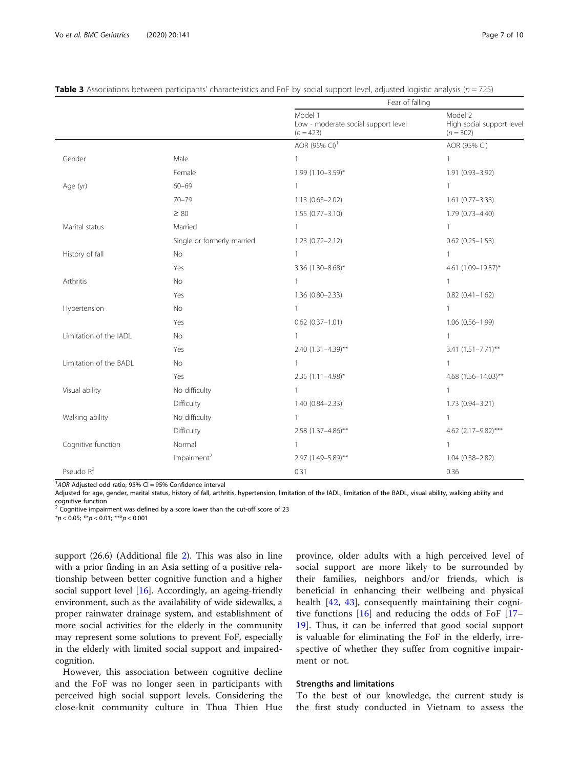|                        |                            | Fear of falling                                               |                                                     |  |
|------------------------|----------------------------|---------------------------------------------------------------|-----------------------------------------------------|--|
|                        |                            | Model 1<br>Low - moderate social support level<br>$(n = 423)$ | Model 2<br>High social support level<br>$(n = 302)$ |  |
|                        |                            | AOR (95% CI) <sup>1</sup>                                     | AOR (95% CI)                                        |  |
| Gender                 | Male                       | $\mathbf{1}$                                                  | $\mathbf{1}$                                        |  |
|                        | Female                     | $1.99(1.10 - 3.59)^*$                                         | 1.91 (0.93-3.92)                                    |  |
| Age (yr)               | $60 - 69$                  | $\mathbf{1}$                                                  | 1                                                   |  |
|                        | $70 - 79$                  | $1.13(0.63 - 2.02)$                                           | $1.61(0.77 - 3.33)$                                 |  |
|                        | $\geq 80$                  | $1.55(0.77 - 3.10)$                                           | 1.79 (0.73-4.40)                                    |  |
| Marital status         | Married                    | $\mathbf{1}$                                                  | $\mathbf{1}$                                        |  |
|                        | Single or formerly married | $1.23(0.72 - 2.12)$                                           | $0.62$ $(0.25 - 1.53)$                              |  |
| History of fall        | <b>No</b>                  | $\mathbf{1}$                                                  | $\mathbf{1}$                                        |  |
|                        | Yes                        | 3.36 (1.30-8.68)*                                             | 4.61 (1.09-19.57)*                                  |  |
| Arthritis              | <b>No</b>                  | $\mathbf{1}$                                                  | $\mathbf{1}$                                        |  |
|                        | Yes                        | $1.36(0.80 - 2.33)$                                           | $0.82(0.41 - 1.62)$                                 |  |
| Hypertension           | <b>No</b>                  | $\mathbf{1}$                                                  | $\mathbf{1}$                                        |  |
|                        | Yes                        | $0.62$ (0.37-1.01)                                            | $1.06(0.56 - 1.99)$                                 |  |
| Limitation of the IADL | <b>No</b>                  | $\mathbf{1}$                                                  | $\mathbf{1}$                                        |  |
|                        | Yes                        | 2.40 $(1.31 - 4.39)$ **                                       | $3.41 (1.51 - 7.71)$ **                             |  |
| Limitation of the BADL | No                         | $\mathbf{1}$                                                  | $\mathbf{1}$                                        |  |
|                        | Yes                        | 2.35 (1.11-4.98)*                                             | 4.68 (1.56-14.03)**                                 |  |
| Visual ability         | No difficulty              | $\mathbf{1}$                                                  | $\mathbf{1}$                                        |  |
|                        | Difficulty                 | $1.40(0.84 - 2.33)$                                           | 1.73 (0.94-3.21)                                    |  |
| Walking ability        | No difficulty              | $\mathbf{1}$                                                  | $\mathbf{1}$                                        |  |
|                        | Difficulty                 | 2.58 (1.37-4.86)**                                            | 4.62 (2.17-9.82)***                                 |  |
| Cognitive function     | Normal                     | $\mathbf{1}$                                                  | $\mathbf{1}$                                        |  |
|                        | Impairment <sup>2</sup>    | 2.97 (1.49-5.89)**                                            | $1.04(0.38 - 2.82)$                                 |  |
| Pseudo $R^2$           |                            | 0.31                                                          | 0.36                                                |  |

<span id="page-6-0"></span>

| Table 3 Associations between participants' characteristics and FoF by social support level, adjusted logistic analysis ( $n = 725$ ) |  |  |  |
|--------------------------------------------------------------------------------------------------------------------------------------|--|--|--|
|--------------------------------------------------------------------------------------------------------------------------------------|--|--|--|

<sup>1</sup>AOR Adjusted odd ratio; 95% CI = 95% Confidence interval

Adjusted for age, gender, marital status, history of fall, arthritis, hypertension, limitation of the IADL, limitation of the BADL, visual ability, walking ability and cognitive function

 $2$  Cognitive impairment was defined by a score lower than the cut-off score of 23  $*p < 0.05; **p < 0.01; **p < 0.001$ 

support (26.6) (Additional file [2](#page-7-0)). This was also in line with a prior finding in an Asia setting of a positive relationship between better cognitive function and a higher social support level [[16\]](#page-8-0). Accordingly, an ageing-friendly environment, such as the availability of wide sidewalks, a proper rainwater drainage system, and establishment of more social activities for the elderly in the community may represent some solutions to prevent FoF, especially in the elderly with limited social support and impairedcognition.

However, this association between cognitive decline and the FoF was no longer seen in participants with perceived high social support levels. Considering the close-knit community culture in Thua Thien Hue

province, older adults with a high perceived level of social support are more likely to be surrounded by their families, neighbors and/or friends, which is beneficial in enhancing their wellbeing and physical health [\[42](#page-9-0), [43\]](#page-9-0), consequently maintaining their cognitive functions  $[16]$  $[16]$  and reducing the odds of FoF  $[17 [17 [17-$ [19\]](#page-8-0). Thus, it can be inferred that good social support is valuable for eliminating the FoF in the elderly, irrespective of whether they suffer from cognitive impairment or not.

#### Strengths and limitations

To the best of our knowledge, the current study is the first study conducted in Vietnam to assess the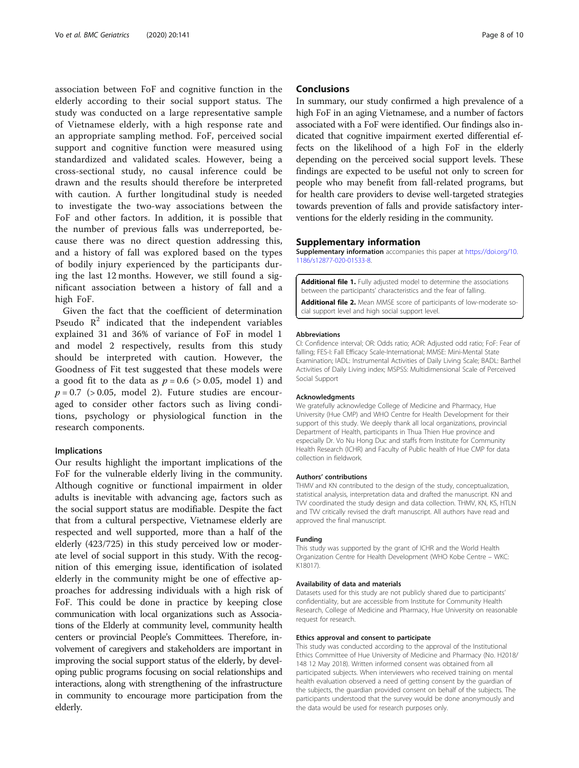<span id="page-7-0"></span>association between FoF and cognitive function in the elderly according to their social support status. The study was conducted on a large representative sample of Vietnamese elderly, with a high response rate and an appropriate sampling method. FoF, perceived social support and cognitive function were measured using standardized and validated scales. However, being a cross-sectional study, no causal inference could be drawn and the results should therefore be interpreted with caution. A further longitudinal study is needed to investigate the two-way associations between the FoF and other factors. In addition, it is possible that the number of previous falls was underreported, because there was no direct question addressing this, and a history of fall was explored based on the types of bodily injury experienced by the participants during the last 12 months. However, we still found a significant association between a history of fall and a high FoF.

Given the fact that the coefficient of determination Pseudo  $\mathbb{R}^2$  indicated that the independent variables explained 31 and 36% of variance of FoF in model 1 and model 2 respectively, results from this study should be interpreted with caution. However, the Goodness of Fit test suggested that these models were a good fit to the data as  $p = 0.6$  ( $> 0.05$ , model 1) and  $p = 0.7$  (> 0.05, model 2). Future studies are encouraged to consider other factors such as living conditions, psychology or physiological function in the research components.

#### Implications

Our results highlight the important implications of the FoF for the vulnerable elderly living in the community. Although cognitive or functional impairment in older adults is inevitable with advancing age, factors such as the social support status are modifiable. Despite the fact that from a cultural perspective, Vietnamese elderly are respected and well supported, more than a half of the elderly (423/725) in this study perceived low or moderate level of social support in this study. With the recognition of this emerging issue, identification of isolated elderly in the community might be one of effective approaches for addressing individuals with a high risk of FoF. This could be done in practice by keeping close communication with local organizations such as Associations of the Elderly at community level, community health centers or provincial People's Committees. Therefore, involvement of caregivers and stakeholders are important in improving the social support status of the elderly, by developing public programs focusing on social relationships and interactions, along with strengthening of the infrastructure in community to encourage more participation from the elderly.

#### **Conclusions**

In summary, our study confirmed a high prevalence of a high FoF in an aging Vietnamese, and a number of factors associated with a FoF were identified. Our findings also indicated that cognitive impairment exerted differential effects on the likelihood of a high FoF in the elderly depending on the perceived social support levels. These findings are expected to be useful not only to screen for people who may benefit from fall-related programs, but for health care providers to devise well-targeted strategies towards prevention of falls and provide satisfactory interventions for the elderly residing in the community.

#### Supplementary information

Supplementary information accompanies this paper at [https://doi.org/10.](https://doi.org/10.1186/s12877-020-01533-8) [1186/s12877-020-01533-8](https://doi.org/10.1186/s12877-020-01533-8).

Additional file 1. Fully adjusted model to determine the associations between the participants' characteristics and the fear of falling.

Additional file 2. Mean MMSE score of participants of low-moderate social support level and high social support level.

#### Abbreviations

CI: Confidence interval; OR: Odds ratio; AOR: Adjusted odd ratio; FoF: Fear of falling; FES-I: Fall Efficacy Scale-International; MMSE: Mini-Mental State Examination; IADL: Instrumental Activities of Daily Living Scale; BADL: Barthel Activities of Daily Living index; MSPSS: Multidimensional Scale of Perceived Social Support

#### Acknowledgments

We gratefully acknowledge College of Medicine and Pharmacy, Hue University (Hue CMP) and WHO Centre for Health Development for their support of this study. We deeply thank all local organizations, provincial Department of Health, participants in Thua Thien Hue province and especially Dr. Vo Nu Hong Duc and staffs from Institute for Community Health Research (ICHR) and Faculty of Public health of Hue CMP for data collection in fieldwork.

#### Authors' contributions

THMV and KN contributed to the design of the study, conceptualization, statistical analysis, interpretation data and drafted the manuscript. KN and TVV coordinated the study design and data collection. THMV, KN, KS, HTLN and TVV critically revised the draft manuscript. All authors have read and approved the final manuscript.

#### Funding

This study was supported by the grant of ICHR and the World Health Organization Centre for Health Development (WHO Kobe Centre – WKC: K18017).

#### Availability of data and materials

Datasets used for this study are not publicly shared due to participants' confidentiality, but are accessible from Institute for Community Health Research, College of Medicine and Pharmacy, Hue University on reasonable request for research.

#### Ethics approval and consent to participate

This study was conducted according to the approval of the Institutional Ethics Committee of Hue University of Medicine and Pharmacy (No. H2018/ 148 12 May 2018). Written informed consent was obtained from all participated subjects. When interviewers who received training on mental health evaluation observed a need of getting consent by the guardian of the subjects, the guardian provided consent on behalf of the subjects. The participants understood that the survey would be done anonymously and the data would be used for research purposes only.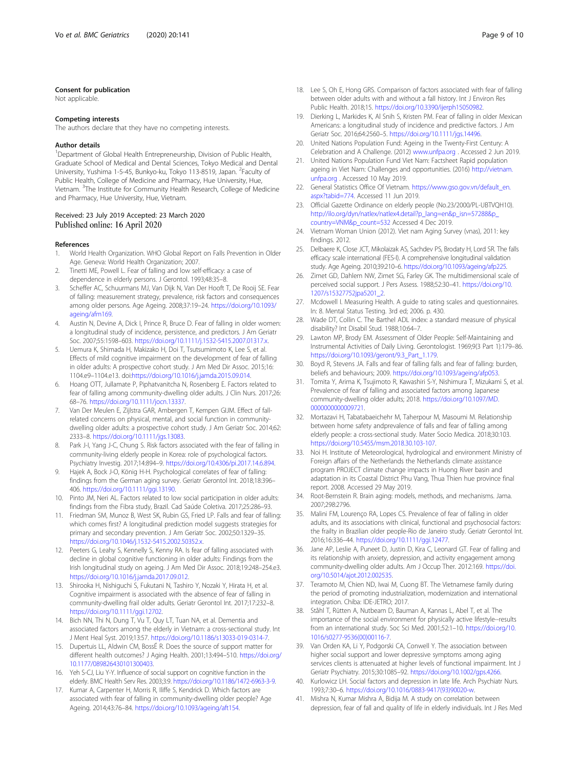#### <span id="page-8-0"></span>Consent for publication

Not applicable.

#### Competing interests

The authors declare that they have no competing interests.

#### Author details

<sup>1</sup>Department of Global Health Entrepreneurship, Division of Public Health, Graduate School of Medical and Dental Sciences, Tokyo Medical and Dental University, Yushima 1-5-45, Bunkyo-ku, Tokyo 113-8519, Japan. <sup>2</sup>Faculty of Public Health, College of Medicine and Pharmacy, Hue University, Hue, Vietnam. <sup>3</sup>The Institute for Community Health Research, College of Medicine and Pharmacy, Hue University, Hue, Vietnam.

#### Received: 23 July 2019 Accepted: 23 March 2020 Published online: 16 April 2020

#### References

- 1. World Health Organization. WHO Global Report on Falls Prevention in Older Age. Geneva: World Health Organization; 2007.
- Tinetti ME, Powell L. Fear of falling and low self-efficacy: a case of dependence in elderly persons. J Gerontol. 1993;48:35–8.
- 3. Scheffer AC, Schuurmans MJ, Van Dijk N, Van Der Hooft T, De Rooij SE. Fear of falling: measurement strategy, prevalence, risk factors and consequences among older persons. Age Ageing. 2008;37:19–24. [https://doi.org/10.1093/](https://doi.org/10.1093/ageing/afm169) [ageing/afm169.](https://doi.org/10.1093/ageing/afm169)
- 4. Austin N, Devine A, Dick I, Prince R, Bruce D. Fear of falling in older women: a longitudinal study of incidence, persistence, and predictors. J Am Geriatr Soc. 2007;55:1598-603. <https://doi.org/10.1111/j.1532-5415.2007.01317.x>.
- 5. Uemura K, Shimada H, Makizako H, Doi T, Tsutsumimoto K, Lee S, et al. Effects of mild cognitive impairment on the development of fear of falling in older adults: A prospective cohort study. J Am Med Dir Assoc. 2015;16: 1104.e9–1104.e13. doi:<https://doi.org/10.1016/j.jamda.2015.09.014>.
- 6. Hoang OTT, Jullamate P, Piphatvanitcha N, Rosenberg E. Factors related to fear of falling among community-dwelling older adults. J Clin Nurs. 2017;26: 68–76. [https://doi.org/10.1111/jocn.13337.](https://doi.org/10.1111/jocn.13337)
- 7. Van Der Meulen E, Zijlstra GAR, Ambergen T, Kempen GIJM. Effect of fallrelated concerns on physical, mental, and social function in communitydwelling older adults: a prospective cohort study. J Am Geriatr Soc. 2014;62: 2333–8. <https://doi.org/10.1111/jgs.13083>.
- 8. Park J-I, Yang J-C, Chung S. Risk factors associated with the fear of falling in community-living elderly people in Korea: role of psychological factors. Psychiatry Investig. 2017;14:894–9. <https://doi.org/10.4306/pi.2017.14.6.894>.
- 9. Hajek A, Bock J-O, König H-H. Psychological correlates of fear of falling: findings from the German aging survey. Geriatr Gerontol Int. 2018;18:396– 406. [https://doi.org/10.1111/ggi.13190.](https://doi.org/10.1111/ggi.13190)
- 10. Pinto JM, Neri AL. Factors related to low social participation in older adults: findings from the Fibra study, Brazil. Cad Saúde Coletiva. 2017;25:286–93.
- 11. Friedman SM, Munoz B, West SK, Rubin GS, Fried LP. Falls and fear of falling: which comes first? A longitudinal prediction model suggests strategies for primary and secondary prevention. J Am Geriatr Soc. 2002;50:1329–35. <https://doi.org/10.1046/j.1532-5415.2002.50352.x>.
- 12. Peeters G, Leahy S, Kennelly S, Kenny RA. Is fear of falling associated with decline in global cognitive functioning in older adults: Findings from the Irish longitudinal study on ageing. J Am Med Dir Assoc. 2018;19:248–254.e3. <https://doi.org/10.1016/j.jamda.2017.09.012>.
- 13. Shirooka H, Nishiguchi S, Fukutani N, Tashiro Y, Nozaki Y, Hirata H, et al. Cognitive impairment is associated with the absence of fear of falling in community-dwelling frail older adults. Geriatr Gerontol Int. 2017;17:232–8. <https://doi.org/10.1111/ggi.12702>.
- 14. Bich NN, Thi N, Dung T, Vu T, Quy LT, Tuan NA, et al. Dementia and associated factors among the elderly in Vietnam: a cross-sectional study. Int J Ment Heal Syst. 2019;13:57. [https://doi.org/10.1186/s13033-019-0314-7.](https://doi.org/10.1186/s13033-019-0314-7)
- 15. Dupertuis LL, Aldwin CM, BossÉ R. Does the source of support matter for different health outcomes? J Aging Health. 2001;13:494–510. [https://doi.org/](https://doi.org/10.1177/089826430101300403) [10.1177/089826430101300403](https://doi.org/10.1177/089826430101300403).
- 16. Yeh S-CJ, Liu Y-Y. Influence of social support on cognitive function in the elderly. BMC Health Serv Res. 2003;3:9. [https://doi.org/10.1186/1472-6963-3-9.](https://doi.org/10.1186/1472-6963-3-9)
- 17. Kumar A, Carpenter H, Morris R, Iliffe S, Kendrick D. Which factors are associated with fear of falling in community-dwelling older people? Age Ageing. 2014;43:76–84. [https://doi.org/10.1093/ageing/aft154.](https://doi.org/10.1093/ageing/aft154)
- 18. Lee S, Oh E, Hong GRS. Comparison of factors associated with fear of falling between older adults with and without a fall history. Int J Environ Res Public Health. 2018;15. <https://doi.org/10.3390/ijerph15050982>.
- 19. Dierking L, Markides K, Al Snih S, Kristen PM. Fear of falling in older Mexican Americans: a longitudinal study of incidence and predictive factors. J Am Geriatr Soc. 2016;64:2560–5. <https://doi.org/10.1111/jgs.14496>.
- 20. United Nations Population Fund: Ageing in the Twenty-First Century: A Celebration and A Challenge. (2012) [www.unfpa.org](http://www.unfpa.org) . Accessed 2 Jun 2019.
- 21. United Nations Population Fund Viet Nam: Factsheet Rapid population ageing in Viet Nam: Challenges and opportunities. (2016) [http://vietnam.](http://vietnam.unfpa.org) [unfpa.org](http://vietnam.unfpa.org) . Accessed 10 May 2019.
- 22. General Statistics Office Of Vietnam. [https://www.gso.gov.vn/default\\_en.](https://www.gso.gov.vn/default_en.aspx?tabid=774) [aspx?tabid=774](https://www.gso.gov.vn/default_en.aspx?tabid=774). Accessed 11 Jun 2019.
- 23. Official Gazette Ordinance on elderly people (No.23/2000/PL-UBTVQH10). [http://ilo.org/dyn/natlex/natlex4.detail?p\\_lang=en&p\\_isn=57288&p\\_](http://ilo.org/dyn/natlex/natlex4.detail?p_lang=en&p_isn=57288&p_country=VNM&p_count=532) [country=VNM&p\\_count=532](http://ilo.org/dyn/natlex/natlex4.detail?p_lang=en&p_isn=57288&p_country=VNM&p_count=532) Accessed 4 Dec 2019.
- 24. Vietnam Woman Union (2012). Viet nam Aging Survey (vnas), 2011: key findings. 2012.
- 25. Delbaere K, Close JCT, Mikolaizak AS, Sachdev PS, Brodaty H, Lord SR. The falls efficacy scale international (FES-I). A comprehensive longitudinal validation study. Age Ageing. 2010;39:210–6. [https://doi.org/10.1093/ageing/afp225.](https://doi.org/10.1093/ageing/afp225)
- 26. Zimet GD, Dahlem NW, Zimet SG, Farley GK. The multidimensional scale of perceived social support. J Pers Assess. 1988;52:30–41. [https://doi.org/10.](https://doi.org/10.1207/s15327752jpa5201_2) [1207/s15327752jpa5201\\_2.](https://doi.org/10.1207/s15327752jpa5201_2)
- 27. Mcdowell I. Measuring Health. A guide to rating scales and questionnaires. In: 8. Mental Status Testing. 3rd ed; 2006. p. 430.
- 28. Wade DT, Collin C. The Barthel ADL index: a standard measure of physical disability? Int Disabil Stud. 1988;10:64–7.
- 29. Lawton MP, Brody EM. Assessment of Older People: Self-Maintaining and Instrumental Activities of Daily Living. Gerontologist. 1969;9(3 Part 1):179–86. [https://doi.org/10.1093/geront/9.3\\_Part\\_1.179](https://doi.org/10.1093/geront/9.3_Part_1.179).
- 30. Boyd R, Stevens JA. Falls and fear of falling falls and fear of falling: burden, beliefs and behaviours; 2009. [https://doi.org/10.1093/ageing/afp053.](https://doi.org/10.1093/ageing/afp053)
- 31. Tomita Y, Arima K, Tsujimoto R, Kawashiri S-Y, Nishimura T, Mizukami S, et al. Prevalence of fear of falling and associated factors among Japanese community-dwelling older adults; 2018. [https://doi.org/10.1097/MD.](https://doi.org/10.1097/MD.0000000000009721) [0000000000009721](https://doi.org/10.1097/MD.0000000000009721).
- 32. Mortazavi H, Tabatabaeichehr M, Taherpour M, Masoumi M. Relationship between home safety andprevalence of falls and fear of falling among elderly people: a cross-sectional study. Mater Socio Medica. 2018;30:103. [https://doi.org/10.5455/msm.2018.30.103-107.](https://doi.org/10.5455/msm.2018.30.103-107)
- 33. Noi H. Institute of Meteorological, hydrological and environment Ministry of Foreign affairs of the Netherlands the Netherlands climate assistance program PROJECT climate change impacts in Huong River basin and adaptation in its Coastal District Phu Vang, Thua Thien hue province final report. 2008. Accessed 29 May 2019.
- Root-Bernstein R. Brain aging: models, methods, and mechanisms. Jama. 2007;298:2796.
- 35. Malini FM, Lourenço RA, Lopes CS. Prevalence of fear of falling in older adults, and its associations with clinical, functional and psychosocial factors: the frailty in Brazilian older people-Rio de Janeiro study. Geriatr Gerontol Int. 2016;16:336–44. <https://doi.org/10.1111/ggi.12477>.
- 36. Jane AP, Leslie A, Puneet D, Justin D, Kira C, Leonard GT. Fear of falling and its relationship with anxiety, depression, and activity engagement among community-dwelling older adults. Am J Occup Ther. 2012:169. [https://doi.](https://doi.org/10.5014/ajot.2012.002535) [org/10.5014/ajot.2012.002535](https://doi.org/10.5014/ajot.2012.002535).
- 37. Teramoto M, Chien ND, Iwai M, Cuong BT. The Vietnamese family during the period of promoting industrialization, modernization and international integration. Chiba: IDE-JETRO; 2017.
- 38. Ståhl T, Rütten A, Nutbeam D, Bauman A, Kannas L, Abel T, et al. The importance of the social environment for physically active lifestyle--results from an international study. Soc Sci Med. 2001;52:1–10. [https://doi.org/10.](https://doi.org/10.1016/s0277-9536(00)00116-7) [1016/s0277-9536\(00\)00116-7.](https://doi.org/10.1016/s0277-9536(00)00116-7)
- 39. Van Orden KA, Li Y, Podgorski CA, Conwell Y. The association between higher social support and lower depressive symptoms among aging services clients is attenuated at higher levels of functional impairment. Int J Geriatr Psychiatry. 2015;30:1085–92. [https://doi.org/10.1002/gps.4266.](https://doi.org/10.1002/gps.4266)
- 40. Kurlowicz LH. Social factors and depression in late life. Arch Psychiatr Nurs. 1993;7:30–6. [https://doi.org/10.1016/0883-9417\(93\)90020-w.](https://doi.org/10.1016/0883-9417(93)90020-w)
- 41. Mishra N, Kumar Mishra A, Bidija M. A study on correlation between depression, fear of fall and quality of life in elderly individuals. Int J Res Med